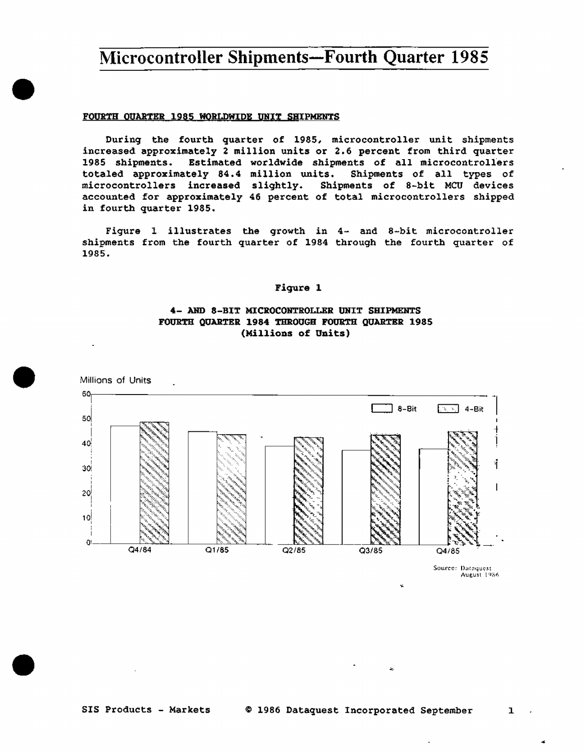#### FOURTH OUARTER 1985 WORLDWIDE UNIT SHIPMENTS

During the fourth quarter of 1985, microcontroller unit shipments increased approximately 2 million units or 2.6 percent from third quarter 1985 shipments. Estimated worldwide shipments of all microcontrollers totaled approximately 84.4 million units. Shipments of all types of microcontrollers increased slightly. Shipments of 8-bit MCU devices accounted for approximately 46 percent of total microcontrollers shipped in fourth quarter 1985.

Figure 1 illustrates the growth in 4- and 8-bit microcontroller shipments from the fourth quarter of 1984 through the fourth quarter of 1985.

#### Figure 1

### 4- AND 8-BIT MICROCONTROLLER UNIT SHIPMENTS FOURTH QUARTER 1984 THROUGH FOURTH QUARTER 1985 (Millions of Units)



 $\mathbf{1}$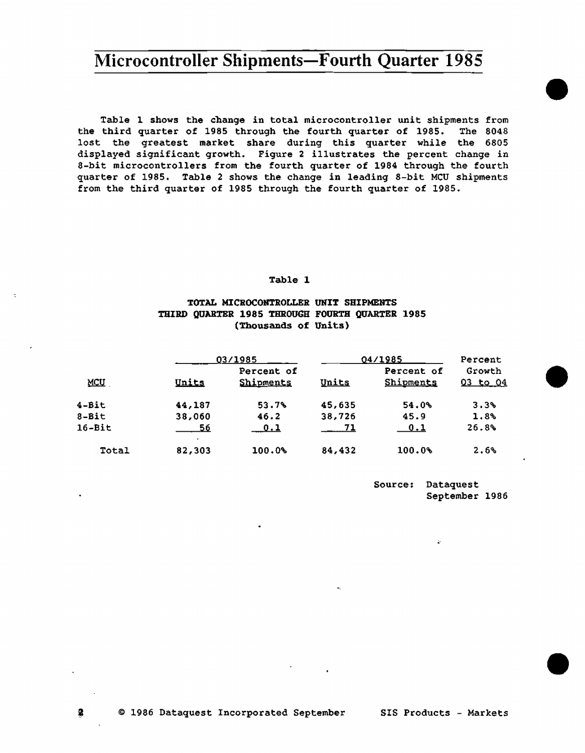Table l shows the change in total microcontroller unit shipments from the third quarter of 1985 through the fourth quarter of 1985. The 8048 lost the greatest market share during this quarter while the 6805 displayed significant growth. Figure 2 illustrates the percent change in 8-bit microcontrollers from the fourth quarter of 1984 through the fourth quarter of 1985. Table 2 shows the change in leading 8-bit MCU shipments from the third quarter of 1985 through the fourth quarter of 1985.

#### Table l

### TOTAL MICROCONTROLLER UNIT SHIPMENTS THIRD QUARTER 1985 THROUGH FOURTH QUARTER 1985 (Thousands of Units)

|            |        | 03/1985                 |        | 04/1985                        |                        |  |
|------------|--------|-------------------------|--------|--------------------------------|------------------------|--|
| MCU        | Units  | Percent of<br>Shipments | Units  | Percent of<br><b>Shipments</b> | Growth<br>$Q3$ to $Q4$ |  |
| $4 - Bit$  | 44,187 | 53.7%                   | 45,635 | 54.0%                          | 3.3%                   |  |
| $8 - Bit$  | 38,060 | 46.2                    | 38,726 | 45.9                           | 1.8%                   |  |
| $16 - Bit$ | 56     | <u>0.1</u>              | $-71$  | $\bf 0.1$                      | 26.8%                  |  |
| Total      | 82,303 | 100.0%                  | 84,432 | 100.0%                         | 2.6%                   |  |

Source: Dataquest September 1986 •

•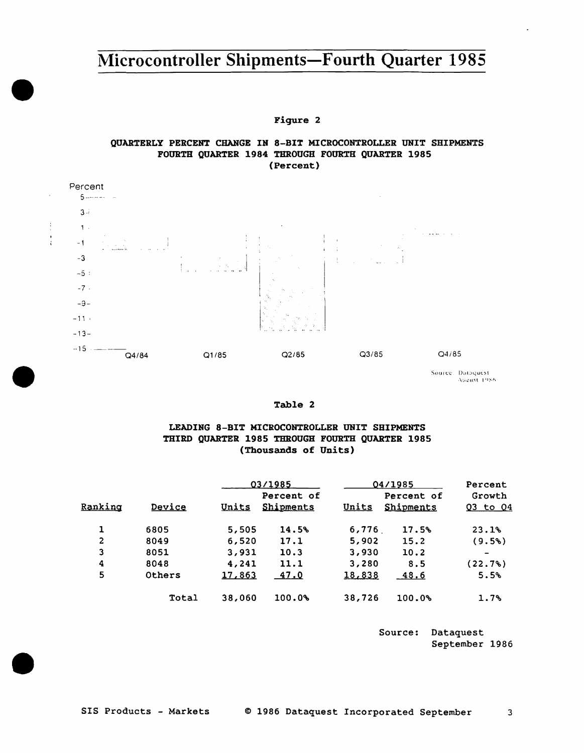Figure 2

### QUARTERLY PERCENT CHANGE IN 8-BIT MICROCONTROLLER UNIT SHIPMENTS FOURTH QUARTER 1984 THROUGH FOURTH QUARTER 1985 (Percent)



 $\frac{1}{2}$ 

 $\frac{1}{4}$ 

Source: Dataquest<br>August 1986

#### Table 2

### LEADING 8-BIT MICROCONTROLLER UNIT SHIPMENTS THIRD QUARTER 1985 THROUGH FOURTH QUARTER 1985 (Thousands of Units)

|         |               |               | 03/1985    |        | 04/1985    |          |
|---------|---------------|---------------|------------|--------|------------|----------|
|         |               |               | Percent of |        | Percent of | Growth   |
| Ranking | <b>Device</b> | Units         | Shipments  | Units  | Shipments  | Q3 to Q4 |
|         | 6805          | 5,505         | 14.5%      | 6,776  | 17.5%      | 23.1%    |
| 2       | 8049          | 6,520         | 17.1       | 5,902  | 15.2       | (9.5%)   |
| 3       | 8051          | 3,931         | 10.3       | 3,930  | 10.2       |          |
| 4       | 8048          | 4,241         | 11.1       | 3,280  | 8.5        | (22.7%)  |
| 5       | Others        | <u>17,863</u> | 47.0       | 18,838 | $-48.6$    | 5.5%     |
|         | Total         | 38,060        | 100.0%     | 38,726 | 100.0%     | 1.7%     |

Source: Dataquest September 1986

 $\overline{3}$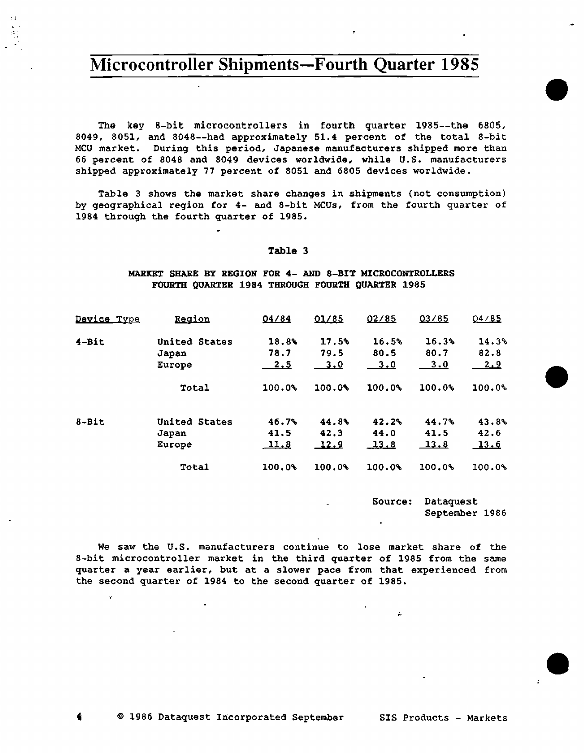The key 8-bit microcontrollers in fourth quarter 1985--the 6805, 8049, 8051, and 8048--had approximately 51.4 percent of the total 8-bit MCU market. During this period, Japanese manufacturers shipped more than 66 percent of 8048 and 8049 devices worldwide, while U.S. manufacturers shipped approximately 77 percent of 8051 and 6805 devices worldwide.

Table 3 shows the market share changes in shipments (not consumption) by geographical region for 4- and 8-bit MCUs, from the fourth quarter of 1984 through the fourth quarter of 1985.

#### Table 3

#### MARKET SHARE BY REGION FOR 4- AND 8-BIT MICROCONTROLLERS FOURTH QUARTER 1984 THROUGH FOURTH QUARTER 1985

| Device Type | Region        | 04/84        | 01/85        | 02/85        | 03/85        | 04/85      |
|-------------|---------------|--------------|--------------|--------------|--------------|------------|
| $4 - Bit$   | United States | 18.8%        | 17.5%        | 16.5%        | 16.3%        | 14.3%      |
|             | Japan         | 78.7         | 79.5         | 80.5         | 80.7         | 82.8       |
|             | Europe        | <u>2.5</u>   | __3.0        | <u>3.0</u>   | 3.0          | <u>2.9</u> |
|             | Total         | 100.0%       | 100.0%       | 100.0%       | 100.0%       | 100.0%     |
| $8 - Bit$   | United States | 46.7%        | 44.8%        | 42.2%        | 44.7%        | 43.8%      |
|             | Japan         | 41.5         | 42.3         | 44.0         | 41.5         | 42.6       |
|             | Europe        | <u> 11.8</u> | <u> 12.9</u> | <u>_13.8</u> | <u> 13.8</u> | 13.6       |
|             | Total         | 100.0%       | 100.0%       | 100.0%       | 100.0%       | 100.0%     |

Source: Dataquest September 1986 •

•

•

We saw the U.S. manufacturers continue to lose market share of the 8-bit microcontroller market in the third quarter of 1985 from the same quarter a year earlier, but at a slower pace from that experienced from the second quarter of 1984 to the second quarter of 1985.

Ŷ.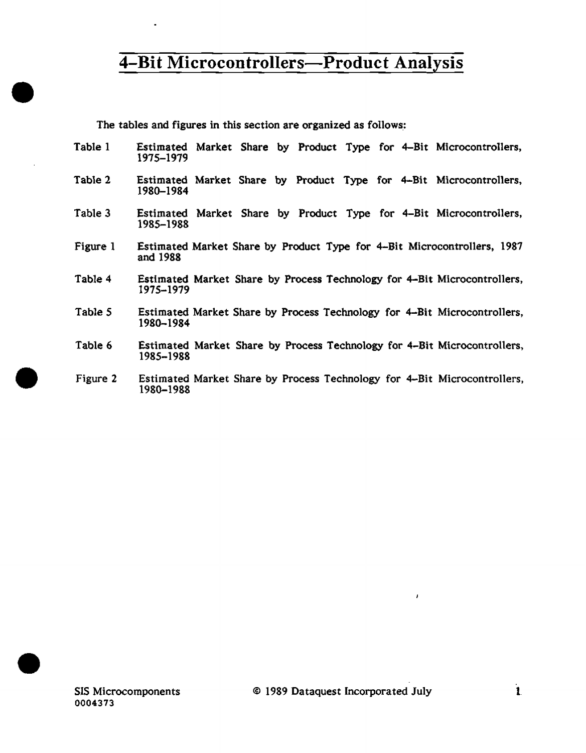The tables and figures in this section are organized as follows:

- Table I Estimated Market Share by Product Type for 4-Bit Microcontrollers, 1975-1979
- Table 2 Estimated Market Share by Product Type for 4-Bit Microcontrollers, 1980-1984
- Table 3 Estimated Market Share by Product Type for 4–Bit Microcontrollers, 1985-1988
- Figure I Estimated Market Share by Product Type for 4-Bit Microcontrollers, 1987 and 1988
- Table 4 Estimated Market Share by Process Technology for 4-Bit Microcontrollers, 1975-1979
- Table *5*  Estimated Market Share by Process Technology for 4-Bit Microcontrollers, 1980-1984
- Table 6 Estimated Market Share by Process Technology for 4-Bit Microcontrollers, 1985-1988
- Figure 2 Estimated Market Share by Process Technology for 4-Bit Microcontrollers, 1980-1988



•

•

•

ï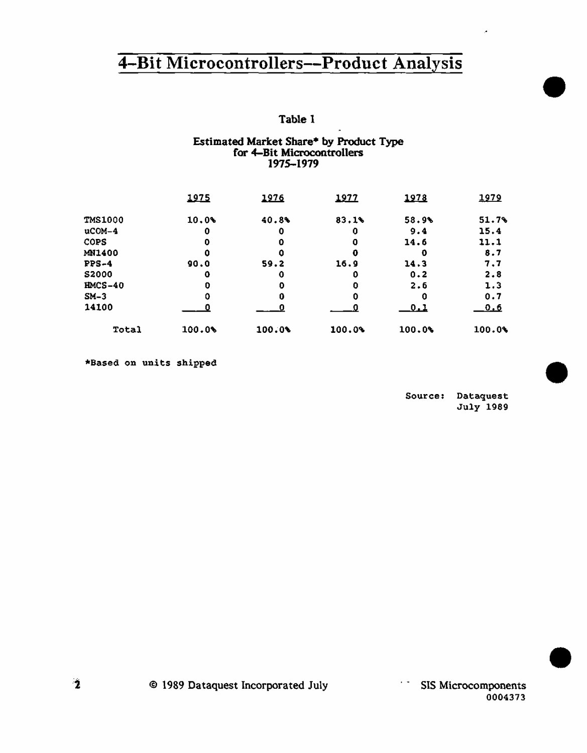# Table I

### Estimated Market Share• by Product Type for 4-Bit Microcontrollers 1975-1979

|                | 1975   | 1976   | 1977   | 1978        | 1979       |
|----------------|--------|--------|--------|-------------|------------|
| <b>TMS1000</b> | 10.0%  | 40.8%  | 83.1%  | 58.9%       | 51.7%      |
| $ucOM-4$       | 0      | 0      |        | 9.4         | 15.4       |
| <b>COPS</b>    | 0      | 0      | 0      | 14.6        | 11.1       |
| MN1400         | ο      | 0      | 0      | O           | 8.7        |
| $PPS-4$        | 90.0   | 59.2   | 16.9   | 14.3        | 7.7        |
| <b>S2000</b>   | ٥      | 0      | ο      | 0.2         | 2.8        |
| $HMCS-40$      | 0      | O      | 0      | 2.6         | 1.3        |
| $SM-3$         | ٥      | 0      | o      | 0           | 0.7        |
| 14100          |        | Ω      |        | <u>_0.1</u> | <u>0.6</u> |
| Total          | 100.0% | 100.0% | 100.0% | 100.0%      | 100.0%     |

•Based on units shipped

Source: Dataquest July 1989

•

×

•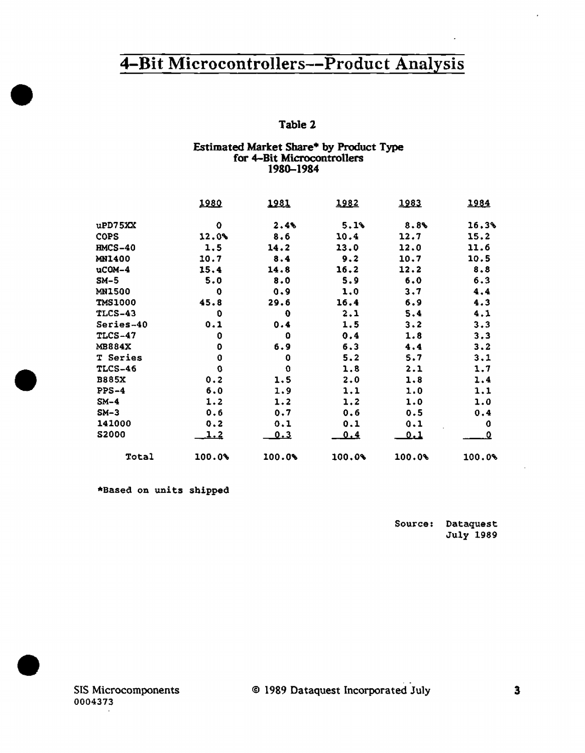# Table 2

### Estimated Market Share• by Product Type for 4-Bit Microcontrollers 1980-1984

|                | 1980   | <u> 1981 </u> | 1982   | 1983       | 1984   |
|----------------|--------|---------------|--------|------------|--------|
| $u$ PD75XX     | o      | 2.4%          | 5.1%   | 8.8%       | 16.3%  |
| <b>COPS</b>    | 12.0%  | 8.6           | 10.4   | 12.7       | 15.2   |
| $IMCS-40$      | 1.5    | 14.2          | 13.0   | 12.0       | 11.6   |
| <b>MN1400</b>  | 10.7   | 8.4           | 9.2    | 10.7       | 10.5   |
| $ucOM-4$       | 15.4   | 14.8          | 16.2   | 12.2       | 8.8    |
| $SM-5$         | 5.0    | 8.0           | 5.9    | 6.0        | 6.3    |
| <b>MN1500</b>  | 0      | 0.9           | 1.0    | 3.7        | 4.4    |
| <b>TMS1000</b> | 45.8   | 29.6          | 16.4   | 6.9        | 4.3    |
| <b>TLCS-43</b> | 0      | $\mathbf 0$   | 2.1    | 5.4        | 4.1    |
| Series-40      | 0.1    | 0.4           | 1.5    | 3.2        | 3.3    |
| <b>TLCS-47</b> | 0      | 0             | 0.4    | 1.8        | 3.3    |
| <b>MB884X</b>  | 0      | 6.9           | 6.3    | 4.4        | 3.2    |
| T Series       | 0      | ٥             | 5.2    | 5.7        | 3.1    |
| TLCS-46        | 0      | $\mathbf 0$   | 1.8    | 2.1        | 1.7    |
| <b>B885X</b>   | 0.2    | 1.5           | 2.0    | 1.8        | 1.4    |
| $PPS-4$        | 6.0    | 1.9           | 1.1    | 1.0        | 1.1    |
| $SM-4$         | 1.2    | 1.2           | 1,2    | 1.0        | 1.0    |
| $SM-3$         | 0.6    | 0.7           | 0.6    | 0.5        | 0.4    |
| 141000         | 0.2    | 0.1           | 0.1    | 0.1        | 0      |
| <b>S2000</b>   | 1.2    | <u>0.3</u>    | 0.4    | <u>0.1</u> | ₫      |
| Total          | 100.0% | 100.0%        | 100.0% | 100.08     | 100.0% |

\*Based on units shipped

•

•

•

Source: Dataquest July 1989

ł,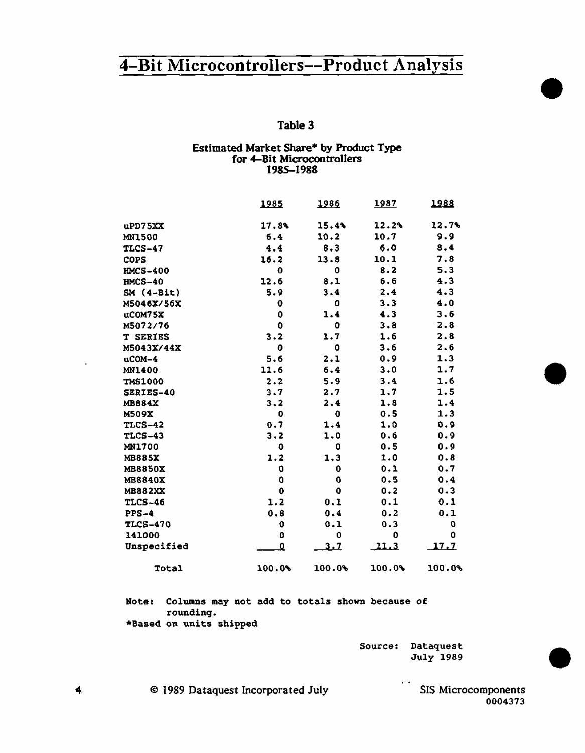### Table 3

# Estimated Market Share\* by Product Type<br>for 4-Bit Microcontrollers 1985-1988

|                 | 1985                    | 1986       | <u> 1987</u> | 1988   |
|-----------------|-------------------------|------------|--------------|--------|
| $u$ PD75XX      | 17.84                   | 15.4%      | 12.2%        | 12.7%  |
| <b>MN1500</b>   | 6.4                     | 10.2       | 10.7         | 9.9    |
| <b>TLCS-47</b>  | 4.4                     | 8.3        | 6.0          | 8.4    |
| <b>COPS</b>     | 16.2                    | 13.8       | 10.1         | 7.8    |
| <b>HMCS-400</b> | 0                       | 0          | 8.2          | 5.3    |
| <b>HMCS-40</b>  | 12.6                    | 8.1        | 6.6          | 4.3    |
| $SM(4-Bit)$     | 5.9                     | 3.4        | 2.4          | 4.3    |
| M5046X/56X      | 0                       | 0          | 3.3          | 4.0    |
| uCOM75X         | 0                       | 1.4        | 4.3          | 3.6    |
| M5072/76        | 0                       | o          | 3.8          | 2.8    |
| <b>T SERIES</b> | 3.2                     | 1.7        | 1.6          | 2.8    |
| M5043X/44X      | $\mathbf 0$             | 0          | 3.6          | 2.6    |
| uCOM-4          | 5.6                     | 2.1        | 0.9          | 1.3    |
| <b>MN1400</b>   | 11.6                    | 6.4        | 3.0          | 1.7    |
| <b>TMS1000</b>  | 2.2                     | 5.9        | 3.4          | 1.6    |
| SERIES-40       | 3.7                     | 2.7        | 1.7          | 1.5    |
| <b>MB884X</b>   | 3.2                     | 2.4        | 1.8          | 1.4    |
| <b>M509X</b>    | 0                       | 0          | 0.5          | 1.3    |
| <b>TLCS-42</b>  | 0.7                     | 1.4        | 1.0          | 0.9    |
| TLCS-43         | $3 - 2$                 | 1.0        | 0.6          | 0.9    |
| MN1700          | 0                       | 0          | 0.5          | 0.9    |
| <b>MB885X</b>   | 1.2                     | 1.3        | 1.0          | 0.8    |
| <b>MB8850X</b>  | 0                       | 0          | 0.1          | 0.7    |
| <b>MB8840X</b>  | 0                       | 0          | 0.5          | 0.4    |
| <b>MB882XX</b>  | 0                       | ٥          | 0.2          | 0.3    |
| <b>TLCS-46</b>  | 1.2                     | 0.1        | 0.1          | 0.1    |
| $PPS-4$         | 0.8                     | 0.4        | 0.2          | 0.1    |
| <b>TLCS-470</b> | 0                       | 0.1        | 0.3          | 0      |
| 141000          | $\mathbf 0$             | 0          | 0            | 0      |
| Unspecified     | $\overline{\mathbf{0}}$ | <u>3.7</u> | <u>11.3</u>  | 17.7   |
| Total           | 100.09                  | 100.0%     | 100.0%       | 100.0% |

Note: Columns may not add to totals shown because of rounding. \*Based on units shipped

> Source: Dataquest July 1989

> > $\sqrt{4}$

@ 1989 Dataquest Incorporated July

SIS Microcomponents 0004373

 $\blacktriangleleft$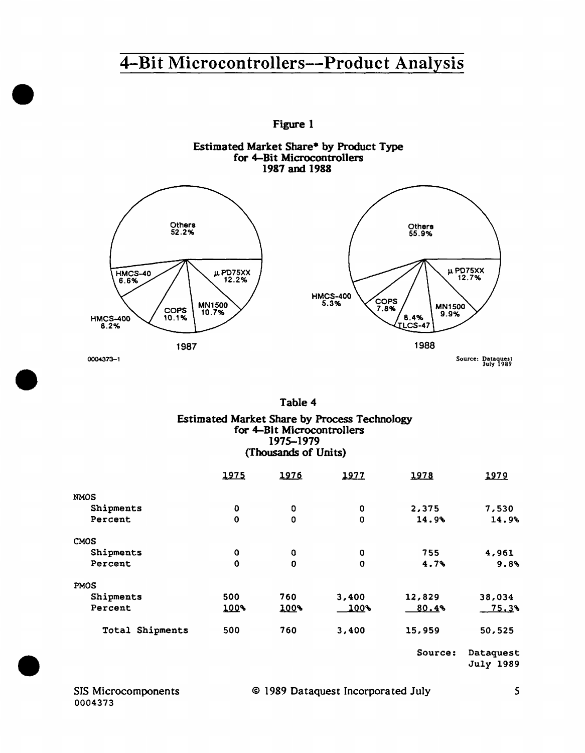

### Table 4 Estimated Market Share by Process Technology for 4-Bit Microcontrollers 1975-1979 (Thousands of Units)

|                 | 1975        | 1976        | 1977        | 1978    | 1979                          |
|-----------------|-------------|-------------|-------------|---------|-------------------------------|
| <b>NMOS</b>     |             |             |             |         |                               |
| Shipments       | 0           | 0           | $\mathbf 0$ | 2,375   | 7,530                         |
| Percent         | $\mathbf 0$ | $\mathbf 0$ | $\circ$     | 14.9%   | 14.9%                         |
| CMOS            |             |             |             |         |                               |
| Shipments       | 0           | 0           | O           | 755     | 4,961                         |
| Percent         | $\mathbf 0$ | $\mathbf 0$ | $\Omega$    | 4.7%    | 9.8%                          |
| <b>PMOS</b>     |             |             |             |         |                               |
| Shipments       | 500         | 760         | 3,400       | 12,829  | 38,034                        |
| Percent         | 100%        | 100%        | 100%        | 80.4%   | 75.3%                         |
| Total Shipments | 500         | 760         | 3,400       | 15,959  | 50,525                        |
|                 |             |             |             | Source: | Dataquest<br><b>July 1989</b> |

•

•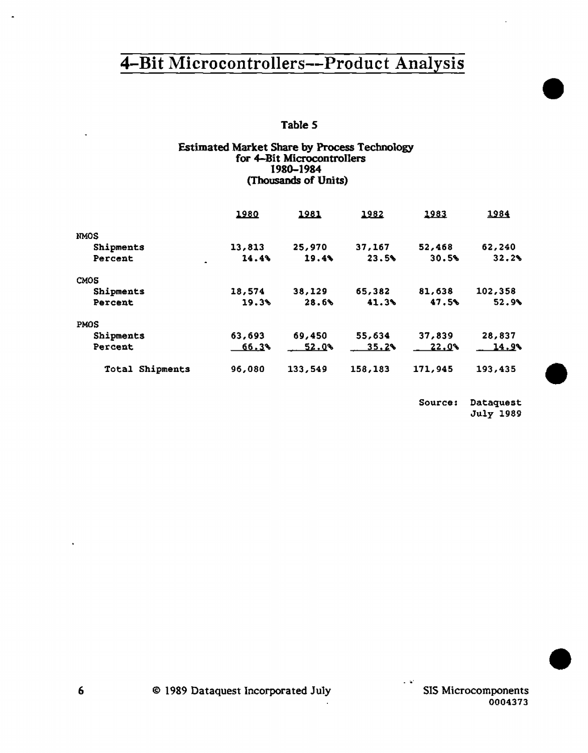### Table *5*

### Estimated Market Share by Process Technology for 4-Bit Microcontrollers 1980-1984 (Thousands of Units)

|                 | 1980   | 1981    | 1982    | 1983    | 1984    |
|-----------------|--------|---------|---------|---------|---------|
| <b>NMOS</b>     |        |         |         |         |         |
| Shipments       | 13,813 | 25,970  | 37,167  | 52,468  | 62,240  |
| Percent         | 14.4%  | 19.4%   | 23.5%   | 30.5%   | 32.2%   |
| CMOS            |        |         |         |         |         |
| Shipments       | 18,574 | 38,129  | 65,382  | 81,638  | 102,358 |
| Percent         | 19.3%  | 28.6%   | 41.3%   | 47.5%   | 52.9%   |
| <b>PMOS</b>     |        |         |         |         |         |
| Shipments       | 63,693 | 69,450  | 55,634  | 37,839  | 28,837  |
| Percent         | 66.3%  | 52.Q%   | 35.2%   | 22.Q%   | 14.9%   |
| Total Shipments | 96,080 | 133,549 | 158,183 | 171,945 | 193.435 |

Source: Dataquest July 1989 •

•

•

SIS Microcomponents 0004373

. :..,'

 $\ddot{\phantom{a}}$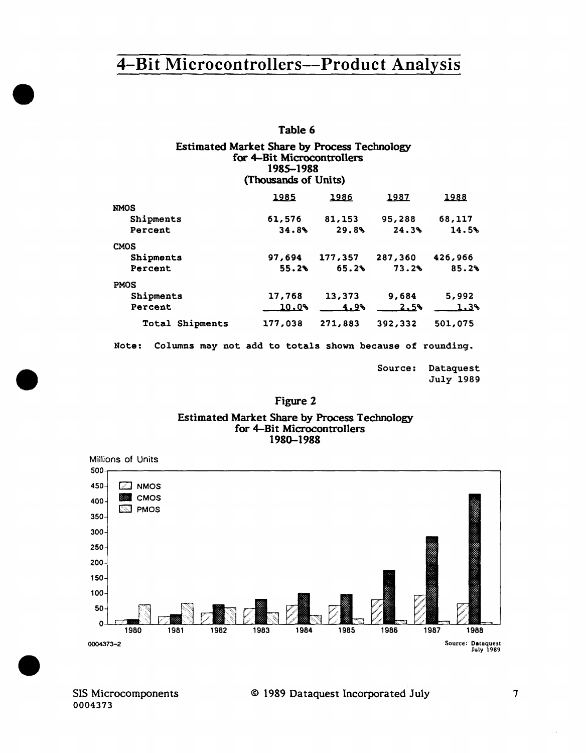## Table 6

### Estimated Market Share by Process Technology for 4-Bit Microcontrollers 1985-1988 (Thousands of Units)

|                                                                   | $\cdots$     |             |         |         |
|-------------------------------------------------------------------|--------------|-------------|---------|---------|
|                                                                   | <u> 1985</u> | 1986        | 1987    | 1988    |
| <b>NMOS</b>                                                       |              |             |         |         |
| Shipments                                                         | 61,576       | 81,153      | 95,288  | 68,117  |
| Percent                                                           | 34.8%        | 29.8%       | 24.3%   | 14.5%   |
| <b>CMOS</b>                                                       |              |             |         |         |
| Shipments                                                         | 97,694       | 177,357     | 287,360 | 426,966 |
| Percent                                                           | 55.2%        | 65.2%       | 73.2%   | 85.2%   |
| <b>PMOS</b>                                                       |              |             |         |         |
| Shipments                                                         | 17,768       | 13,373      | 9,684   | 5,992   |
| Percent                                                           | 10.0%        | <u>4,9%</u> | 2.5     | 1.3%    |
| Total Shipments                                                   | 177,038      | 271,883     | 392,332 | 501,075 |
| Columns may not add to totals shown because of rounding.<br>Note: |              |             |         |         |

| Source: | Dataquest |
|---------|-----------|
|         | July 1989 |

## Figure 2

### Estimated Market Share by Process Technology for 4-Bit Microcontrol1ers 1980-1988



•

•